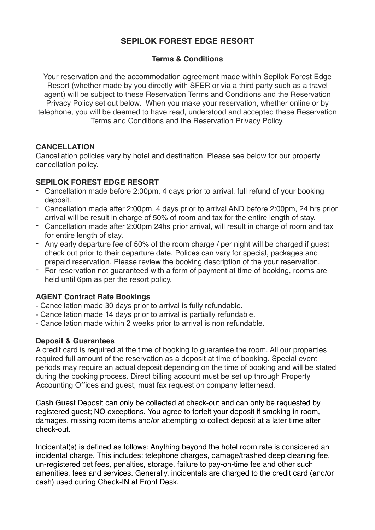# **SEPILOK FOREST EDGE RESORT**

# **Terms & Conditions**

Your reservation and the accommodation agreement made within Sepilok Forest Edge Resort (whether made by you directly with SFER or via a third party such as a travel agent) will be subject to these Reservation Terms and Conditions and the Reservation Privacy Policy set out below. When you make your reservation, whether online or by telephone, you will be deemed to have read, understood and accepted these Reservation Terms and Conditions and the Reservation Privacy Policy.

# **CANCELLATION**

Cancellation policies vary by hotel and destination. Please see below for our property cancellation policy.

# **SEPILOK FOREST EDGE RESORT**

- Cancellation made before 2:00pm, 4 days prior to arrival, full refund of your booking deposit.
- Cancellation made after 2:00pm, 4 days prior to arrival AND before 2:00pm, 24 hrs prior arrival will be result in charge of 50% of room and tax for the entire length of stay.
- Cancellation made after 2:00pm 24hs prior arrival, will result in charge of room and tax for entire length of stay.
- Any early departure fee of 50% of the room charge / per night will be charged if guest check out prior to their departure date. Polices can vary for special, packages and prepaid reservation. Please review the booking description of the your reservation.
- For reservation not guaranteed with a form of payment at time of booking, rooms are held until 6pm as per the resort policy.

# **AGENT Contract Rate Bookings**

- Cancellation made 30 days prior to arrival is fully refundable.
- Cancellation made 14 days prior to arrival is partially refundable.
- Cancellation made within 2 weeks prior to arrival is non refundable.

# **Deposit & Guarantees**

A credit card is required at the time of booking to guarantee the room. All our properties required full amount of the reservation as a deposit at time of booking. Special event periods may require an actual deposit depending on the time of booking and will be stated during the booking process. Direct billing account must be set up through Property Accounting Offices and guest, must fax request on company letterhead.

Cash Guest Deposit can only be collected at check-out and can only be requested by registered guest; NO exceptions. You agree to forfeit your deposit if smoking in room, damages, missing room items and/or attempting to collect deposit at a later time after check-out.

Incidental(s) is defined as follows: Anything beyond the hotel room rate is considered an incidental charge. This includes: telephone charges, damage/trashed deep cleaning fee, un-registered pet fees, penalties, storage, failure to pay-on-time fee and other such amenities, fees and services. Generally, incidentals are charged to the credit card (and/or cash) used during Check-IN at Front Desk.